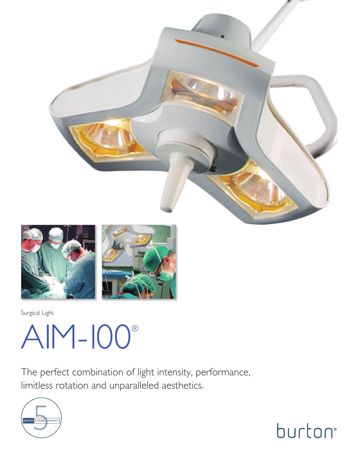



Surgical Light

# AIM-100®

The perfect combination of light intensity, performance, limitless rotation and unparalleled aesthetics.



burton<sup>®</sup>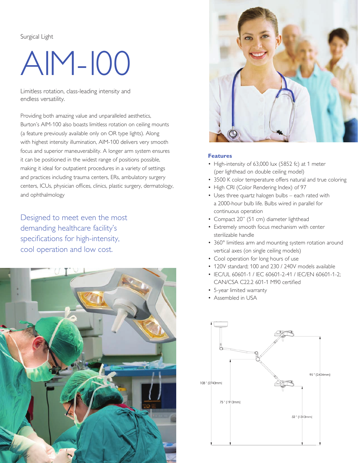Surgical Light

## AIM-100

Limitless rotation, class-leading intensity and endless versatility.

Providing both amazing value and unparalleled aesthetics, Burton's AIM-100 also boasts limitless rotation on ceiling mounts (a feature previously available only on OR type lights). Along with highest intensity illumination, AIM-100 delivers very smooth focus and superior maneuverability. A longer arm system ensures it can be positioned in the widest range of positions possible, making it ideal for outpatient procedures in a variety of settings and practices including trauma centers, ERs, ambulatory surgery centers, ICUs, physician offices, clinics, plastic surgery, dermatology, and ophthalmology

Designed to meet even the most demanding healthcare facility's specifications for high-intensity, cool operation and low cost.





#### **Features**

- High-intensity of 63,000 lux (5852 fc) at 1 meter (per lighthead on double ceiling model)
- 3500 K color temperature offers natural and true coloring
- High CRI (Color Rendering Index) of 97
- Uses three quartz halogen bulbs each rated with a 2000-hour bulb life. Bulbs wired in parallel for continuous operation
- Compact 20" (51 cm) diameter lighthead
- Extremely smooth focus mechanism with center sterilizable handle
- 360° limitless arm and mounting system rotation around vertical axes (on single ceiling models)
- Cool operation for long hours of use
- 120V standard; 100 and 230 / 240V models available
- IEC/UL 60601-1 / IEC 60601-2-41 / IEC/EN 60601-1-2; CAN/CSA C22.2 601-1 M90 certified
- 5-year limited warranty
- Assembled in USA

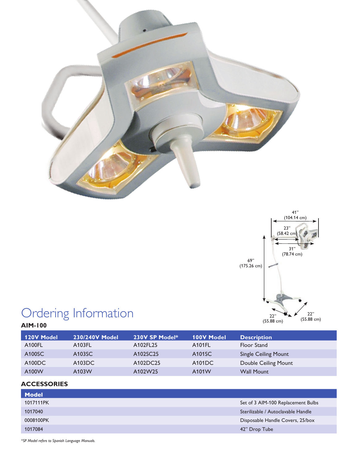



## Ordering Information

| <b>120V Model</b> | 230/240V Model | 230V SP Model* | <b>100V Model</b> | <b>Description</b>          |
|-------------------|----------------|----------------|-------------------|-----------------------------|
| A100FL            | A103FL         | A102FL25       | A101FL            | Floor Stand                 |
| A100SC            | A103SC         | A102SC25       | A101SC            | <b>Single Ceiling Mount</b> |
| A100DC            | A103DC         | A102DC25       | A101DC            | Double Ceiling Mount        |
| A100W             | A103W          | A102W25        | A101W             | <b>Wall Mount</b>           |

### **ACCESSORIES**

| <b>Model</b> |                                    |
|--------------|------------------------------------|
| 1017111PK    | Set of 3 AIM-100 Replacement Bulbs |
| 1017040      | Sterilizable / Autoclavable Handle |
| 0008100PK    | Disposable Handle Covers, 25/box   |
| 1017084      | 42" Drop Tube                      |
|              |                                    |

*\*SP Model refers to Spanish Language Manuals.*